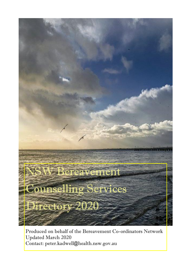

Produced on behalf of the Bereavement Co-ordinators Network Updated March 2020 Contact: peter.kadwell@health.nsw.gov.au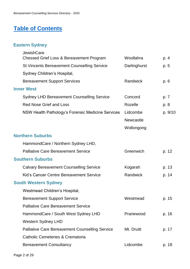# **[Table of Contents](2020_Bereavement_Counselling_Service.docx)**

## **Eastern Sydney**

| <b>JewishCare</b>                                      |                  |         |
|--------------------------------------------------------|------------------|---------|
| <b>Chessed Grief Loss &amp; Bereavement Program</b>    | Woollahra        | p. 4    |
| <b>St Vincents Bereavement Counselling Service</b>     | Darlinghurst     | p. 5    |
| Sydney Children's Hospital,                            |                  |         |
| <b>Bereavement Support Services</b>                    | Randwick         | p. 6    |
| <b>Inner West</b>                                      |                  |         |
| <b>Sydney LHD Bereavement Counselling Service</b>      | Concord          | p. 7    |
| <b>Red Nose Grief and Loss</b>                         | Rozelle          | p. 8    |
| NSW Health Pathology's Forensic Medicine Services      | Lidcombe         | p. 9/10 |
|                                                        | <b>Newcastle</b> |         |
|                                                        | Wollongong       |         |
| <b>Northern Suburbs</b>                                |                  |         |
| HammondCare / Northern Sydney LHD,                     |                  |         |
| <b>Palliative Care Bereavement Service</b>             | Greenwich        | p. 12   |
| <b>Southern Suburbs</b>                                |                  |         |
| <b>Calvary Bereavement Counselling Service</b>         | Kogarah          | p. 13   |
| Kid's Cancer Centre Bereavement Service                | Randwick         | p. 14   |
| <b>South Western Sydney</b>                            |                  |         |
| Westmead Children's Hospital,                          |                  |         |
| <b>Bereavement Support Service</b>                     | Westmead         | p. 15   |
| <b>Palliative Care Bereavement Service</b>             |                  |         |
| HammondCare / South West Sydney LHD                    | Prariewood       | p. 16   |
| <b>Western Sydney LHD</b>                              |                  |         |
| <b>Palliative Care Bereavement Counselling Service</b> | Mt. Druitt       | p. 17   |
| Catholic Cemeteries & Crematoria                       |                  |         |
| <b>Bereavement Consultancy</b>                         | Lidcombe         | p. 18   |
|                                                        |                  |         |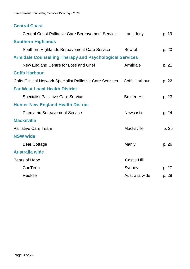### **Central Coast**

| <b>Central Coast Palliative Care Bereavement Service</b>          | Long Jetty           | p. 19 |
|-------------------------------------------------------------------|----------------------|-------|
| <b>Southern Highlands</b>                                         |                      |       |
| Southern Highlands Bereavement Care Service                       | <b>Bowral</b>        | p. 20 |
| <b>Armidale Counselling Therapy and Psychological Services</b>    |                      |       |
| New England Centre for Loss and Grief                             | Armidale             | p. 21 |
| <b>Coffs Harbour</b>                                              |                      |       |
| <b>Coffs Clinical Network Specialist Palliative Care Services</b> | <b>Coffs Harbour</b> | p. 22 |
| <b>Far West Local Health District</b>                             |                      |       |
| <b>Specialist Palliative Care Service</b>                         | <b>Broken Hill</b>   | p. 23 |
| <b>Hunter New England Health District</b>                         |                      |       |
| <b>Paediatric Bereavement Service</b>                             | Newcastle            | p. 24 |
| <b>Macksville</b>                                                 |                      |       |
| <b>Palliative Care Team</b>                                       | Macksville           | p. 25 |
| <b>NSW wide</b>                                                   |                      |       |
| <b>Bear Cottage</b>                                               | Manly                | p. 26 |
| <b>Australia wide</b>                                             |                      |       |
| Bears of Hope                                                     | <b>Castle Hill</b>   |       |
| CanTeen                                                           | Sydney               | p. 27 |
| <b>Redkite</b>                                                    | Australia wide       | p. 28 |
|                                                                   |                      |       |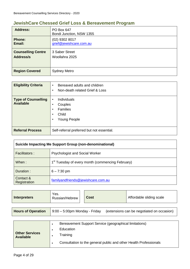### **JewishCare Chessed Grief Loss & Bereavement Program**

| <b>Address:</b>           | PO Box 647<br>Bondi Junction, NSW 1355 |
|---------------------------|----------------------------------------|
| <b>Phone:</b>             | $(02)$ 9302 8017                       |
| Email:                    | grief@jewishcare.com.au                |
| <b>Counselling Centre</b> | 3 Saber Street                         |
| Address/s                 | Woollahra 2025                         |
| <b>Region Covered</b>     | <b>Sydney Metro</b>                    |

| <b>Eligibility Criteria</b>                    | Bereaved adults and children<br>$\bullet$<br>Non-death related Grief & Loss<br>$\bullet$                           |
|------------------------------------------------|--------------------------------------------------------------------------------------------------------------------|
| <b>Type of Counselling</b><br><b>Available</b> | <b>Individuals</b><br>$\bullet$<br>Couples<br>٠<br><b>Families</b><br>٠<br>Child<br>$\bullet$<br>Young People<br>٠ |
| <b>Referral Process</b>                        | Self-referral preferred but not essential.                                                                         |

| <b>Suicide Impacting Me Support Group (non-denominational)</b>        |                                    |  |  |
|-----------------------------------------------------------------------|------------------------------------|--|--|
| <b>Psychologist and Social Worker</b><br>Facilitators :               |                                    |  |  |
| 1 <sup>st</sup> Tuesday of every month (commencing February)<br>When: |                                    |  |  |
| Duration:                                                             | $6 - 7:30$ pm                      |  |  |
| Contact &<br>Registration                                             | familyandfriends@jewishcare.com.au |  |  |

| <b>Interpreters</b>       | Yes.<br>Russian/Hebrew                                                         |  | <b>Cost</b>                                            | Affordable sliding scale |
|---------------------------|--------------------------------------------------------------------------------|--|--------------------------------------------------------|--------------------------|
| <b>Hours of Operation</b> | $9:00 - 5:00$ pm Monday - Friday<br>(extensions can be negotiated on occasion) |  |                                                        |                          |
|                           |                                                                                |  | Bereavement Support Service (geographical limitations) |                          |

| <b>Other Services</b><br><b>Available</b> | Education<br><b>Training</b> |  |                                                                   |  |
|-------------------------------------------|------------------------------|--|-------------------------------------------------------------------|--|
|                                           |                              |  | Consultation to the general public and other Health Professionals |  |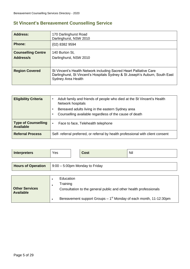### **St Vincent's Bereavement Counselling Service**

| <b>Address:</b>                        | 170 Darlinghurst Road<br>Darlinghurst, NSW 2010                                                                                                                          |
|----------------------------------------|--------------------------------------------------------------------------------------------------------------------------------------------------------------------------|
| <b>Phone:</b>                          | $(02)$ 8382 9594                                                                                                                                                         |
| <b>Counselling Centre</b><br>Address/s | 140 Burton St,<br>Darlinghurst, NSW 2010                                                                                                                                 |
| <b>Region Covered</b>                  | St Vincent's Health Network including Sacred Heart Palliative Care<br>Darlinghurst, St Vincent's Hospitals Sydney & St Joseph's Auburn, South East<br>Sydney Area Health |

| <b>Eligibility Criteria</b>                    | Adult family and friends of people who died at the St Vincent's Health<br>Network hospitals<br>Bereaved adults living in the eastern Sydney area<br>Counselling available regardless of the cause of death |
|------------------------------------------------|------------------------------------------------------------------------------------------------------------------------------------------------------------------------------------------------------------|
| <b>Type of Counselling</b><br><b>Available</b> | Face to face, Telehealth telephone<br>$\bullet$                                                                                                                                                            |
| <b>Referral Process</b>                        | Self- referral preferred, or referral by health professional with client consent                                                                                                                           |

| <b>Interpreters</b>                       | Yes                                                  | <b>Cost</b> | Nil                                                                                                                                     |  |  |
|-------------------------------------------|------------------------------------------------------|-------------|-----------------------------------------------------------------------------------------------------------------------------------------|--|--|
| <b>Hours of Operation</b>                 | $9:00 - 5:00$ pm Monday to Friday                    |             |                                                                                                                                         |  |  |
| <b>Other Services</b><br><b>Available</b> | Education<br>٠<br>Training<br>$\bullet$<br>$\bullet$ |             | Consultation to the general public and other health professionals<br>Bereavement support Groups $-1st$ Monday of each month, 11-12:30pm |  |  |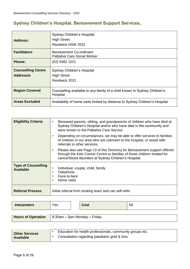## **Sydney Children's Hospital, Bereavement Support Services,**

| Address:                        | Sydney Children's Hospital,<br><b>High Street</b><br>Randwick NSW 2031                |
|---------------------------------|---------------------------------------------------------------------------------------|
| <b>Facilitators</b>             | Bereavement Co-ordinator<br><b>Palliative Care Social Worker</b>                      |
| <b>Phone:</b>                   | $(02)$ 9382 1021                                                                      |
| <b>Counselling Centre</b>       | Sydney Children's Hospital                                                            |
| Address/s<br><b>High Street</b> |                                                                                       |
|                                 | Randwick 2031                                                                         |
| <b>Region Covered</b>           | Counselling available to any family of a child known to Sydney Children's<br>Hospital |
| <b>Areas Excluded</b>           | Availability of home visits limited by distance to Sydney Children's Hospital         |

| <b>Eligibility Criteria</b>                    | Bereaved parents, sibling, and grandparents of children who have died at<br>$\bullet$<br>Sydney Children's Hospital and/or who have died in the community and<br>were known to the Palliative Care Service.                 |
|------------------------------------------------|-----------------------------------------------------------------------------------------------------------------------------------------------------------------------------------------------------------------------------|
|                                                | Depending on circumstances, we may be able to offer services to families<br>٠<br>of children in our area who are unknown to the hospital, or assist with<br>referrals to other services.                                    |
|                                                | Please also see Page 13 of this Directory for Bereavement support offered<br>$\bullet$<br>through the Kids Cancer Centre to families of those children treated for<br>cancer/blood disorders at Sydney Children's Hospital. |
| <b>Type of Counselling</b><br><b>Available</b> | Individual, couple, child, family<br>٠<br>Telephone<br>$\bullet$<br>Face-to-face<br>$\bullet$<br>Home visits<br>$\bullet$                                                                                                   |
| <b>Referral Process</b>                        | Initial referral from treating team and can self-refer                                                                                                                                                                      |

| <b>Interpreters</b>       | Yes | <b>Cost</b>                          | Nil |
|---------------------------|-----|--------------------------------------|-----|
| <b>Hours of Operation</b> |     | $\vert$ 8:30am – 5pm Monday – Friday |     |

| <b>Other Services</b><br><b>Available</b> | Education for health professionals, community groups etc. |
|-------------------------------------------|-----------------------------------------------------------|
|                                           | Consultation regarding paediatric grief & loss            |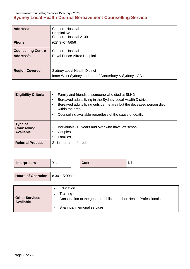Bereavement Counselling Services Directory - 2020

## **Sydney Local Health District Bereavement Counselling Service**

| <b>Address:</b>                        | <b>Concord Hospital</b><br><b>Hospital Rd</b><br>Concord Hospital 2139                         |
|----------------------------------------|------------------------------------------------------------------------------------------------|
| <b>Phone:</b>                          | $(02)$ 9767 5656                                                                               |
| <b>Counselling Centre</b><br>Address/s | <b>Concord Hospital</b><br><b>Royal Prince Alfred Hospital</b>                                 |
| <b>Region Covered</b>                  | <b>Sydney Local Health District</b><br>Inner West Sydney and part of Canterbury & Sydney LGAs. |

| <b>Eligibility Criteria</b>                       | Family and friends of someone who died at SLHD<br>$\bullet$<br>Bereaved adults living in the Sydney Local Health District.<br>$\bullet$<br>Bereaved adults living outside the area but the deceased person died<br>within the area.<br>Counselling available regardless of the cause of death.<br>$\bullet$ |
|---------------------------------------------------|-------------------------------------------------------------------------------------------------------------------------------------------------------------------------------------------------------------------------------------------------------------------------------------------------------------|
| Type of<br><b>Counselling</b><br><b>Available</b> | Individuals (18 years and over who have left school)<br>Couples<br><b>Families</b>                                                                                                                                                                                                                          |
| <b>Referral Process</b>                           | Self-referral preferred.                                                                                                                                                                                                                                                                                    |

| <b>Interpreters</b>                          | Yes |  | <b>Cost</b> | <b>Nil</b> |
|----------------------------------------------|-----|--|-------------|------------|
| <b>Hours of Operation</b> $  8.30 - 5.00$ pm |     |  |             |            |
|                                              |     |  |             |            |

| <b>Other Services</b><br><b>Available</b> | Education                                                         |
|-------------------------------------------|-------------------------------------------------------------------|
|                                           | Training                                                          |
|                                           | Consultation to the general public and other Health Professionals |
|                                           | Bi-annual memorial services                                       |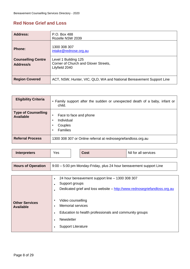### **Red Nose Grief and Loss**

| <b>Address:</b>                        | P.O. Box 488<br>Rozelle NSW 2039                                               |
|----------------------------------------|--------------------------------------------------------------------------------|
| <b>Phone:</b>                          | 1300 308 307<br>intake@rednose.org.au                                          |
| <b>Counselling Centre</b><br>Address/s | Level 1 Building 125<br>Corner of Church and Glover Streets,<br>Lilyfield 2040 |
| <b>Region Covered</b>                  | ACT, NSW, Hunter, VIC, QLD, WA and National Bereavement Support Line           |

| <b>Eligibility Criteria</b>                    | • Family support after the sudden or unexpected death of a baby, infant or<br>child.   |
|------------------------------------------------|----------------------------------------------------------------------------------------|
| <b>Type of Counselling</b><br><b>Available</b> | Face to face and phone<br>٠<br>Individual<br>٠<br>Couples<br>٠<br><b>Families</b><br>٠ |
| <b>Referral Process</b>                        | 1300 308 307 or Online referral at rednosegriefandloss.org.au                          |

| <b>Interpreters</b>                       | Yes                                                                                             | <b>Cost</b>                                                                                                                                                                                               | Nil for all services                                                     |
|-------------------------------------------|-------------------------------------------------------------------------------------------------|-----------------------------------------------------------------------------------------------------------------------------------------------------------------------------------------------------------|--------------------------------------------------------------------------|
| <b>Hours of Operation</b>                 |                                                                                                 |                                                                                                                                                                                                           | 9:00 – 5:00 pm Monday-Friday, plus 24 hour bereavement support Line      |
| <b>Other Services</b><br><b>Available</b> | $\bullet$<br>$\bullet$<br>$\bullet$<br>$\bullet$<br><b>Newsletter</b><br>$\bullet$<br>$\bullet$ | 24 hour bereavement support line - 1300 308 307<br>Support groups<br>Video counselling<br><b>Memorial services</b><br>Education to health professionals and community groups<br><b>Support Literature</b> | Dedicated grief and loss website - http://www.rednosegriefandloss.org.au |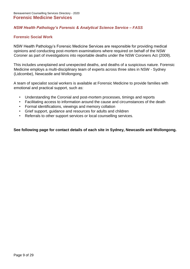#### *NSW Health Pathology's Forensic & Analytical Science Service – FASS*

#### **Forensic Social Work**

NSW Health Pathology's Forensic Medicine Services are responsible for providing medical opinions and conducting post-mortem examinations where required on behalf of the NSW Coroner as part of investigations into reportable deaths under the NSW Coroners Act (2009).

This includes unexplained and unexpected deaths, and deaths of a suspicious nature. Forensic Medicine employs a multi-disciplinary team of experts across three sites in NSW - Sydney (Lidcombe), Newcastle and Wollongong.

A team of specialist social workers is available at Forensic Medicine to provide families with emotional and practical support, such as:

- Understanding the Coronial and post-mortem processes, timings and reports
- Facilitating access to information around the cause and circumstances of the death
- Formal identifications, viewings and memory collation
- Grief support, guidance and resources for adults and children
- Referrals to other support services or local counselling services.

#### **See following page for contact details of each site in Sydney, Newcastle and Wollongong.**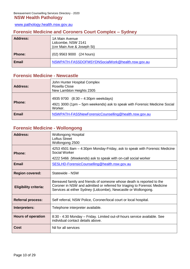[www.pathology.health.nsw.gov.au](http://www.pathology.health.nsw.gov.au/)

### **Forensic Medicine and Coroners Court Complex – Sydney**

| <b>Address:</b> | 1A Main Avenue<br>Lidcombe, NSW 2141<br>(cnr Main Ave & Joseph St) |
|-----------------|--------------------------------------------------------------------|
| <b>Phone:</b>   | (02) 9563 9000 (24 hours)                                          |
| <b>Email</b>    | NSWPATH-FASSDOFMSYDNSocialWork@health.nsw.gov.au                   |

### **Forensic Medicine - Newcastle**

| <b>Address:</b> | John Hunter Hospital Complex<br>Rosella Close<br>New Lambton Heights 2305                                                  |
|-----------------|----------------------------------------------------------------------------------------------------------------------------|
| <b>Phone:</b>   | 4935 9700 (8:30 - 4:30pm weekdays)<br>4921 3000 (1pm – 5pm weekends) ask to speak with Forensic Medicine Social<br>Worker. |
| <b>Email</b>    | NSWPATH-FASSNewForensicCounselling@health.nsw.gov.au                                                                       |

### **Forensic Medicine - Wollongong**

| Address:                     | <b>Wollongong Hospital</b><br><b>Loftus Street</b><br>Wollongong 2500                                                                                                                                                |  |  |
|------------------------------|----------------------------------------------------------------------------------------------------------------------------------------------------------------------------------------------------------------------|--|--|
| Phone:                       | 4253 4501 8am – 4:30pm Monday-Friday, ask to speak with Forensic Medicine<br>Social Worker<br>4222 5466 (Weekends) ask to speak with on-call social worker                                                           |  |  |
| <b>Email</b>                 | SESLHD-ForensicCounselling@health.nsw.gov.au                                                                                                                                                                         |  |  |
| <b>Region covered:</b>       | Statewide - NSW                                                                                                                                                                                                      |  |  |
| <b>Eligibility criteria:</b> | Bereaved family and friends of someone whose death is reported to the<br>Coroner in NSW and admitted or referred for triaging to Forensic Medicine<br>Services at either Sydney (Lidcombe), Newcastle or Wollongong. |  |  |
| <b>Referral process:</b>     | Self referral, NSW Police, Coroner/local court or local hospital.                                                                                                                                                    |  |  |
| Interpreters:                | Telephone interpreter available.                                                                                                                                                                                     |  |  |
| <b>Hours of operation</b>    | 8:30 - 4:30 Monday – Friday. Limited out-of-hours service available. See<br>individual contact details above.                                                                                                        |  |  |
| <b>Cost</b>                  | Nil for all services                                                                                                                                                                                                 |  |  |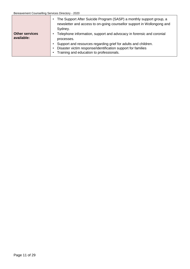|                                     | The Support After Suicide Program (SASP) a monthly support group, a<br>$\bullet$<br>newsletter and access to on-going counsellor support in Wollongong and<br>Sydney.                   |
|-------------------------------------|-----------------------------------------------------------------------------------------------------------------------------------------------------------------------------------------|
| <b>Other services</b><br>available: | Telephone information, support and advocacy in forensic and coronial<br>٠<br>processes.                                                                                                 |
|                                     | Support and resources regarding grief for adults and children.<br>Disaster victim response/identification support for families<br>$\bullet$<br>Training and education to professionals. |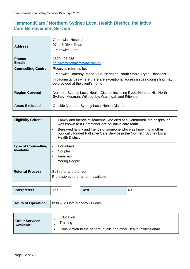### **HammondCare / Northern Sydney Local Health District, Palliative Care Bereavement Service**

| Address:                  | <b>Greenwich Hospital</b><br>97-115 River Road<br>Greenwich 2065                                                                                                                                                   |
|---------------------------|--------------------------------------------------------------------------------------------------------------------------------------------------------------------------------------------------------------------|
| <b>Phone:</b><br>Email:   | 1800 427 255<br>bereavement@hammond.com.au                                                                                                                                                                         |
| <b>Counselling Centre</b> | Receives referrals for:<br>Greenwich Hornsby, Mona Vale, Neringah, North Shore, Ryde, Hospitals<br>In circumstances where there are exceptional access issues counselling may<br>be provided at the client's home. |
| <b>Region Covered</b>     | Northern Sydney Local Health District, including Ryde, Hunters Hill, North<br>Sydney, Mosman, Willoughby, Warringah and Pittwater                                                                                  |
| <b>Areas Excluded</b>     | <b>Outside Northern Sydney Local Health District</b>                                                                                                                                                               |

| <b>Eligibility Criteria</b>                    | Family and friends of someone who died at a HammondCare hospital or<br>$\bullet$<br>was known to a HammondCare palliative care team<br>Bereaved family and friends of someone who was known to another<br>$\bullet$<br>publically funded Palliative Care Service in the Northern Sydney Local<br><b>Health District</b> |
|------------------------------------------------|-------------------------------------------------------------------------------------------------------------------------------------------------------------------------------------------------------------------------------------------------------------------------------------------------------------------------|
| <b>Type of Counselling</b><br><b>Available</b> | Individuals<br>$\bullet$<br>Couples<br>٠<br><b>Families</b><br>$\bullet$<br><b>Young People</b>                                                                                                                                                                                                                         |
| <b>Referral Process</b>                        | Self-referral preferred.<br>Professional referral form available.                                                                                                                                                                                                                                                       |

| <b>Interpreters</b>       | Yes                           |  | <b>Cost</b> | Nil |
|---------------------------|-------------------------------|--|-------------|-----|
|                           |                               |  |             |     |
| <b>Hours of Operation</b> | 8:30 – 5:00pm Monday - Friday |  |             |     |

| <b>Other Services</b><br><b>Available</b> | Education<br>Training<br>Consultation to the general public and other Health Professionals |
|-------------------------------------------|--------------------------------------------------------------------------------------------|
|-------------------------------------------|--------------------------------------------------------------------------------------------|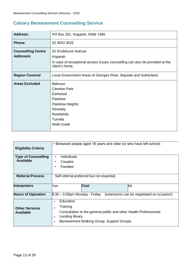## **Calvary Bereavement Counselling Service**

| <b>Address:</b>                               | PO Box 261, Kogarah, NSW 1485                                                                                                                    |  |  |  |
|-----------------------------------------------|--------------------------------------------------------------------------------------------------------------------------------------------------|--|--|--|
| <b>Phone:</b>                                 | 02 9553 3025                                                                                                                                     |  |  |  |
| <b>Counselling Centre</b><br><b>Address/s</b> | 52 Ercildoune Avenue<br>Kogarah<br>In case of exceptional access issues counselling can also be provided at the<br>client's home.                |  |  |  |
| <b>Region Covered</b>                         | Local Government Areas of Georges River, Bayside and Sutherland.                                                                                 |  |  |  |
| <b>Areas Excluded</b>                         | <b>Belmore</b><br><b>Clemton Park</b><br>Earlwood<br>Padstow<br>Padstow Heights<br>Revesby<br><b>Roselands</b><br>Turrella<br><b>Wolli Creek</b> |  |  |  |

| <b>Eligibility Criteria</b>                    |                                                                                                                                   | • Bereaved people aged 18 years and older (or who have left school) |
|------------------------------------------------|-----------------------------------------------------------------------------------------------------------------------------------|---------------------------------------------------------------------|
| <b>Type of Counselling</b><br><b>Available</b> | Individuals<br>$\bullet$<br>Couples<br>Families<br>$\bullet$                                                                      |                                                                     |
| <b>Referral Process</b>                        | Self-referral preferred but not essential.                                                                                        |                                                                     |
| <b>Interpreters</b>                            | <b>Cost</b><br>Yes                                                                                                                | Nil                                                                 |
| <b>Hours of Operation</b>                      | $8:30 - 5:00$ pm Monday - Friday                                                                                                  | (extensions can be negotiated on occasion)                          |
| <b>Other Services</b><br><b>Available</b>      | Education<br>$\bullet$<br>Training<br>٠<br>Lending library<br>$\bullet$<br>Bereavement Walking Group, Support Groups<br>$\bullet$ | Consultation to the general public and other Health Professionals   |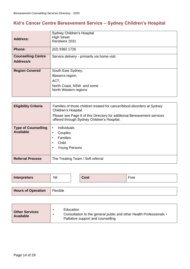## **Kid's Cancer Centre Bereavement Service – Sydney Children's Hospital**

| <b>Address:</b>           | <b>Sydney Children's Hospital</b><br><b>High Street</b><br>Randwick 2031 |  |  |  |  |
|---------------------------|--------------------------------------------------------------------------|--|--|--|--|
| <b>Phone:</b>             | (02) 9382 1726                                                           |  |  |  |  |
| <b>Counselling Centre</b> | Service delivery - primarily via home visit                              |  |  |  |  |
| Address/s                 |                                                                          |  |  |  |  |
| <b>Region Covered</b>     | South East Sydney,                                                       |  |  |  |  |
|                           | Illawarra region,                                                        |  |  |  |  |
|                           | ACT,                                                                     |  |  |  |  |
|                           | North Coast, NSW and some<br>North Western regions                       |  |  |  |  |

| <b>Eligibility Criteria</b>                    | Families of those children treated for cancer/blood disorders at Sydney<br>Children's Hospital.<br>Please see Page 6 of this Directory for additional Bereavement services<br>offered through Sydney Children's Hospital. |
|------------------------------------------------|---------------------------------------------------------------------------------------------------------------------------------------------------------------------------------------------------------------------------|
| <b>Type of Counselling</b><br><b>Available</b> | Individuals<br>$\bullet$<br>Couples<br><b>Families</b><br>٠<br>Child<br><b>Young Persons</b>                                                                                                                              |
| <b>Referral Process</b>                        | The Treating Team / Self-referral                                                                                                                                                                                         |

| <b>Interpreters</b>       | Nil      | <b>Cost</b> | Free |
|---------------------------|----------|-------------|------|
|                           |          |             |      |
| <b>Hours of Operation</b> | Flexible |             |      |

| <b>Other Services</b><br><b>Available</b> | Education<br>Consultation to the general public and other Health Professionals •<br>Palliative support and counselling |
|-------------------------------------------|------------------------------------------------------------------------------------------------------------------------|
|                                           |                                                                                                                        |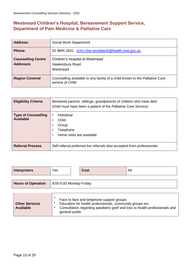### **Westmead Children's Hospital, Bereavement Support Service, Department of Pain Medicine & Palliative Care**

| <b>Address:</b>                        | Social Work Department                                                                        |
|----------------------------------------|-----------------------------------------------------------------------------------------------|
| <b>Phone:</b>                          | schn-chw-socialwork@health.nsw.gov.au<br>02 9845 2641                                         |
| <b>Counselling Centre</b><br>Address/s | Children's Hospital at Westmead<br>Hawkesbury Road<br>Westmead                                |
| <b>Region Covered</b>                  | Counselling available to any family of a child known to the Palliative Care<br>service at CHW |

| <b>Eligibility Criteria</b>                    | Bereaved parents, siblings, grandparents of children who have died<br>(child must have been a patient of the Palliative Care Service) |
|------------------------------------------------|---------------------------------------------------------------------------------------------------------------------------------------|
| <b>Type of Counselling</b><br><b>Available</b> | Individual<br>$\bullet$<br>Child<br>٠<br>Group<br>$\bullet$<br>Telephone<br>$\bullet$<br>Home visits are available                    |
| <b>Referral Process</b>                        | Self-referral preferred but referrals also accepted from professionals.                                                               |

| <b>Interpreters</b>       | Yes                     |  | <b>Cost</b> | Nil |  |
|---------------------------|-------------------------|--|-------------|-----|--|
|                           |                         |  |             |     |  |
| <b>Hours of Operation</b> | 8:00-5:00 Monday-Friday |  |             |     |  |
|                           |                         |  |             |     |  |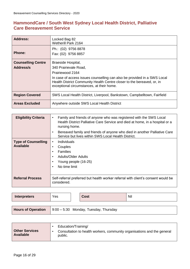### **HammondCare / South West Sydney Local Health District, Palliative Care Bereavement Service**

| Address:                               | Locked Bag 82<br><b>Wetherill Park 2164</b>                                                                                                                                                                                                                        |
|----------------------------------------|--------------------------------------------------------------------------------------------------------------------------------------------------------------------------------------------------------------------------------------------------------------------|
| <b>Phone:</b>                          | Ph.: (02) 9756 8878<br>Fax: (02) 9756 8857                                                                                                                                                                                                                         |
| <b>Counselling Centre</b><br>Address/s | Braeside Hospital,<br>340 Prairievale Road,<br>Prairiewood 2164<br>In case of access issues counselling can also be provided in a SWS Local<br>Health District Community Health Centre closer to the bereaved, or, in<br>exceptional circumstances, at their home. |
| <b>Region Covered</b>                  | SWS Local Health District, Liverpool, Bankstown, Campbelltown, Fairfield                                                                                                                                                                                           |
| <b>Areas Excluded</b>                  | Anywhere outside SWS Local Health District                                                                                                                                                                                                                         |

| <b>Eligibility Criteria</b>                    | Family and friends of anyone who was registered with the SWS Local<br>$\bullet$<br>Health District Palliative Care Service and died at home, in a hospital or a<br>nursing home.<br>Bereaved family and friends of anyone who died in another Palliative Care<br>$\bullet$<br>Service but lives within SWS Local Health District. |
|------------------------------------------------|-----------------------------------------------------------------------------------------------------------------------------------------------------------------------------------------------------------------------------------------------------------------------------------------------------------------------------------|
| <b>Type of Counselling</b><br><b>Available</b> | Individuals<br>$\bullet$<br>Couples<br>٠<br><b>Families</b><br>$\bullet$<br><b>Adults/Older Adults</b><br>$\bullet$<br>Young people (16-25)<br>$\bullet$<br>No time limit<br>$\bullet$                                                                                                                                            |
| <b>Referral Process</b>                        | Self-referral preferred but health worker referral with client's consent would be<br>considered.                                                                                                                                                                                                                                  |

| <b>Interpreters</b>       | Yes | <b>Cost</b>                           | Nil |
|---------------------------|-----|---------------------------------------|-----|
|                           |     |                                       |     |
| <b>Houre of Operation</b> |     | 1.9:00 - 5:30 Monday Tuesday Thursday |     |

| $\frac{1}{2}$ Hours of Operation $\frac{1}{2}$ 3.00 – 3.30 monday, ruesday, rilaisuay |
|---------------------------------------------------------------------------------------|
|                                                                                       |

|                                           | Education/Training/                                                                |
|-------------------------------------------|------------------------------------------------------------------------------------|
| <b>Other Services</b><br><b>Available</b> | Consultation to health workers, community organisations and the general<br>public. |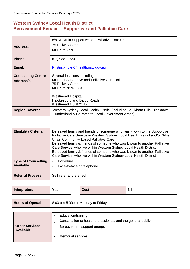### **Western Sydney Local Health District Bereavement Service – Supportive and Palliative Care**

| <b>Address:</b>                        | c/o Mt Druitt Supportive and Palliative Care Unit<br>75 Railway Street<br>Mt Druitt 2770                                                                                                                 |
|----------------------------------------|----------------------------------------------------------------------------------------------------------------------------------------------------------------------------------------------------------|
| <b>Phone:</b>                          | $(02)$ 98811723                                                                                                                                                                                          |
| Email:                                 | Kristin.bindley@health.nsw.gov.au                                                                                                                                                                        |
| <b>Counselling Centre</b><br>Address/s | Several locations including:<br>Mt Druitt Supportive and Palliative Care Unit,<br>75 Railway Street<br>Mt Druitt NSW 2770<br><b>Westmead Hospital</b><br>Hawkesbury and Darcy Roads<br>Westmead NSW 2145 |
| <b>Region Covered</b>                  | Western Sydney Local Health District [including Baulkham Hills, Blacktown,<br><b>Cumberland &amp; Parramatta Local Government Areasl</b>                                                                 |

| <b>Eligibility Criteria</b>                    | Bereaved family and friends of someone who was known to the Supportive<br>Palliative Care Service in Western Sydney Local Health District and/or Silver<br>Chain Community-based Palliative Care.<br>Bereaved family & friends of someone who was known to another Palliative<br>Care Service, who live within Western Sydney Local Health District<br>Bereaved family & friends of someone who was known to another Palliative<br>Care Service, who live within Western Sydney Local Health District |
|------------------------------------------------|-------------------------------------------------------------------------------------------------------------------------------------------------------------------------------------------------------------------------------------------------------------------------------------------------------------------------------------------------------------------------------------------------------------------------------------------------------------------------------------------------------|
| <b>Type of Counselling</b><br><b>Available</b> | Individual<br>$\bullet$<br>Face-to-face or telephone                                                                                                                                                                                                                                                                                                                                                                                                                                                  |
| <b>Referral Process</b>                        | Self-referral preferred.                                                                                                                                                                                                                                                                                                                                                                                                                                                                              |

| <b>Interpreters</b>       | Yes                               |  | <b>Cost</b> | Nil |
|---------------------------|-----------------------------------|--|-------------|-----|
|                           |                                   |  |             |     |
| <b>Hours of Operation</b> | 8:00 am-5:00pm, Monday to Friday. |  |             |     |
|                           |                                   |  |             |     |

| <b>Other Services</b><br><b>Available</b> | Education/training                                          |  |
|-------------------------------------------|-------------------------------------------------------------|--|
|                                           | Consultation to health professionals and the general public |  |
|                                           | Bereavement support groups                                  |  |
|                                           | <b>Memorial services</b>                                    |  |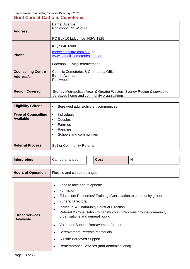#### Bereavement Counselling Services Directory - 2020

#### **Grief Care at Catholic Cemeteries**

| <b>Address:</b>                        | <b>Barnet Avenue</b><br>Rookwood, NSW 2141<br>PO Box 10 Lidcombe, NSW 1825                                         |
|----------------------------------------|--------------------------------------------------------------------------------------------------------------------|
| <b>Phone:</b>                          | $(02)$ 9646 6908<br>care@griefcare.com.au or<br>www.catholiccemeteries.com.au<br>Facebook: LivingBereavement       |
| <b>Counselling Centre</b><br>Address/s | Catholic Cemeteries & Crematoria Office<br><b>Barnet Avenue</b><br>Rookwood                                        |
| <b>Region Covered</b>                  | Sydney Metropolitan Area & Greater Western Sydney Region & service to<br>bereaved home and community organisations |

| <b>Eligibility Criteria</b>                    | Bereaved adults/children/communities<br>$\bullet$                                                                        |
|------------------------------------------------|--------------------------------------------------------------------------------------------------------------------------|
| <b>Type of Counselling</b><br><b>Available</b> | <b>Individuals</b><br>٠<br>Couples<br>٠<br>Families<br>٠<br><b>Parishes</b><br>٠<br>Schools and communities<br>$\bullet$ |
| <b>Referral Process</b>                        | Self or Community Referral                                                                                               |

| <b>Interpreters</b>       | Can be arranged              |  | <b>Cost</b> | Nil |
|---------------------------|------------------------------|--|-------------|-----|
|                           |                              |  |             |     |
| <b>Hours of Operation</b> | Flexible and can be arranged |  |             |     |

| Face to face and telephone<br>$\bullet$                                                                 |
|---------------------------------------------------------------------------------------------------------|
| Formation                                                                                               |
| Education/ Resources/ Training / Consultation to community groups                                       |
| <b>Funeral Directors/</b>                                                                               |
| Individual & Community Spiritual Direction                                                              |
| Referral & Consultation to parish/church/religious groups/community<br>organisations and general public |
| <b>Volunteer Support Bereavement Groups</b>                                                             |
| <b>Bereavement Retreats/Memorials</b>                                                                   |
| <b>Suicide Bereaved Support</b>                                                                         |
| Remembrance Services (non-denominational)                                                               |
|                                                                                                         |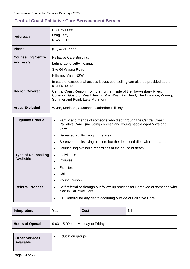### **Central Coast Palliative Care Bereavement Service**

| <b>Address:</b>           | PO Box 6088<br>Long Jetty<br><b>NSW, 2261</b>                                                                                                                                        |
|---------------------------|--------------------------------------------------------------------------------------------------------------------------------------------------------------------------------------|
| <b>Phone:</b>             | $(02)$ 4336 7777                                                                                                                                                                     |
| <b>Counselling Centre</b> | Palliative Care Building,                                                                                                                                                            |
| Address/s                 | behind Long Jetty Hospital                                                                                                                                                           |
|                           | Site 64 Wyong Road                                                                                                                                                                   |
|                           | Killarney Vale, NSW                                                                                                                                                                  |
|                           | In case of exceptional access issues counselling can also be provided at the<br>client's home.                                                                                       |
| <b>Region Covered</b>     | Central Coast Region: from the northern side of the Hawkesbury River.<br>Covering: Gosford, Pearl Beach, Woy Woy, Box Head, The Entrance, Wyong,<br>Summerland Point, Lake Munmorah. |
| <b>Areas Excluded</b>     | Wyee, Morisset, Swansea, Catherine Hill Bay.                                                                                                                                         |

| <b>Eligibility Criteria</b>                    | Family and friends of someone who died through the Central Coast<br>$\bullet$<br>Palliative Care. (including children and young people aged 5 yrs and<br>older). |  |  |  |  |
|------------------------------------------------|------------------------------------------------------------------------------------------------------------------------------------------------------------------|--|--|--|--|
|                                                | Bereaved adults living in the area                                                                                                                               |  |  |  |  |
|                                                | Bereaved adults living outside, but the deceased died within the area.                                                                                           |  |  |  |  |
|                                                | Counselling available regardless of the cause of death.                                                                                                          |  |  |  |  |
| <b>Type of Counselling</b><br><b>Available</b> | <b>Individuals</b><br>Couples                                                                                                                                    |  |  |  |  |
|                                                | <b>Families</b>                                                                                                                                                  |  |  |  |  |
|                                                | Child                                                                                                                                                            |  |  |  |  |
|                                                | Young Person                                                                                                                                                     |  |  |  |  |
| <b>Referral Process</b>                        | Self-referral or through our follow-up process for Bereaved of someone who<br>$\bullet$<br>died in Palliative Care.                                              |  |  |  |  |
|                                                | GP Referral for any death occurring outside of Palliative Care.<br>$\bullet$                                                                                     |  |  |  |  |

| <b>Interpreters</b>       | Yes                                |  | <b>Cost</b> | Nil |
|---------------------------|------------------------------------|--|-------------|-----|
|                           |                                    |  |             |     |
| <b>Hours of Operation</b> | $9:00 - 5:00$ pm Monday to Friday. |  |             |     |
|                           |                                    |  |             |     |
| $\rightarrow$             | Education groups                   |  |             |     |

| <b>Other Services</b><br><b>Available</b> | Education groups |
|-------------------------------------------|------------------|
|-------------------------------------------|------------------|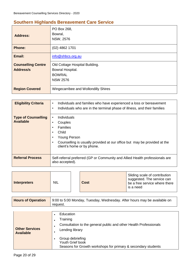### **Southern Highlands Bereavement Care Service**

| <b>Address:</b>                               | PO Box 268,<br>Bowral,<br><b>NSW, 2576</b>                                             |
|-----------------------------------------------|----------------------------------------------------------------------------------------|
| <b>Phone:</b>                                 | (02) 4862 1701                                                                         |
| Email:                                        | info@shbcs.org.au                                                                      |
| <b>Counselling Centre</b><br><b>Address/s</b> | Old Cottage Hospital Building.<br>Bowral Hospital.<br><b>BOWRAL</b><br><b>NSW 2576</b> |
| <b>Region Covered</b>                         | Wingecarribee and Wollondilly Shires                                                   |

| <b>Eligibility Criteria</b>                    | Individuals and families who have experienced a loss or bereavement<br>$\bullet$<br>Individuals who are in the terminal phase of illness, and their families<br>$\bullet$                                                        |
|------------------------------------------------|----------------------------------------------------------------------------------------------------------------------------------------------------------------------------------------------------------------------------------|
| <b>Type of Counselling</b><br><b>Available</b> | <b>Individuals</b><br>$\bullet$<br>Couples<br>٠<br><b>Families</b><br>٠<br>Child<br>٠<br><b>Young Person</b><br>٠<br>Counselling is usually provided at our office but may be provided at the<br>٠<br>client's home or by phone. |
| <b>Referral Process</b>                        | Self-referral preferred (GP or Community and Allied Health professionals are<br>also accepted).                                                                                                                                  |

| <b>NIL</b><br><b>Interpreters</b> |  | <b>Cost</b> | Sliding scale of contribution<br>suggested. The service can<br>be a free service where there<br>is a need |
|-----------------------------------|--|-------------|-----------------------------------------------------------------------------------------------------------|
|-----------------------------------|--|-------------|-----------------------------------------------------------------------------------------------------------|

| <b>Hours of Operation</b> | 9:00 to 5:00 Monday, Tuesday, Wednesday. After hours may be available on<br>request. |
|---------------------------|--------------------------------------------------------------------------------------|
|                           |                                                                                      |

| <b>Other Services</b> | Education<br>Training<br>Consultation to the general public and other Health Professionals<br>Lending library |
|-----------------------|---------------------------------------------------------------------------------------------------------------|
| <b>Available</b>      | Group debriefing<br>Youth Grief book<br>Seasons for Growth workshops for primary & secondary students         |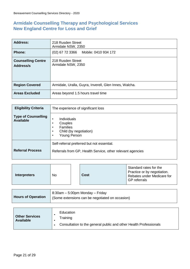### **Armidale Counselling Therapy and Psychological Services New England Centre for Loss and Grief**

| <b>Address:</b>                        | 218 Rusden Street<br>Armidale NSW, 2350                |  |  |
|----------------------------------------|--------------------------------------------------------|--|--|
| <b>Phone:</b>                          | $(02)$ 67 72 3366<br>Mobile: 0410 934 172              |  |  |
| <b>Counselling Centre</b><br>Address/s | 218 Rusden Street<br>Armidale NSW, 2350                |  |  |
| <b>Region Covered</b>                  | Armidale, Uralla, Guyra, Inverell, Glen Innes, Walcha. |  |  |
| <b>Areas Excluded</b>                  | Areas beyond 1.5 hours travel time                     |  |  |

| <b>Eligibility Criteria</b>                    | The experience of significant loss                                                                       |  |  |  |
|------------------------------------------------|----------------------------------------------------------------------------------------------------------|--|--|--|
| <b>Type of Counselling</b><br><b>Available</b> | Individuals<br>٠<br>Couples<br>٠<br>Families<br>٠<br>Child (by negotiation)<br>Young Person<br>٠         |  |  |  |
| <b>Referral Process</b>                        | Self-referral preferred but not essential.<br>Referrals from GP, Health Service, other relevant agencies |  |  |  |

| <b>Interpreters</b> | No |  | Cost | Standard rates for the<br>Practice or by negotiation.<br>Rebates under Medicare for<br><b>GP</b> referrals |
|---------------------|----|--|------|------------------------------------------------------------------------------------------------------------|
|---------------------|----|--|------|------------------------------------------------------------------------------------------------------------|

|                           | 8:30am – 5:00pm Monday – Friday                 |
|---------------------------|-------------------------------------------------|
| <b>Hours of Operation</b> | (Some extensions can be negotiated on occasion) |

| <b>Other Services</b><br><b>Available</b> | Education<br>Training<br>Consultation to the general public and other Health Professionals |
|-------------------------------------------|--------------------------------------------------------------------------------------------|
|-------------------------------------------|--------------------------------------------------------------------------------------------|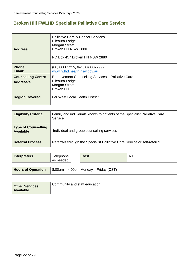### **Broken Hill FWLHD Specialist Palliative Care Service**

| <b>Address:</b>                        | <b>Palliative Care &amp; Cancer Services</b><br>Elleoura Lodge<br>Morgan Street<br>Broken Hill NSW 2880<br>PO Box 457 Broken Hill NSW 2880 |
|----------------------------------------|--------------------------------------------------------------------------------------------------------------------------------------------|
| <b>Phone:</b><br>Email:                | (08) 80801215, fax (08) 80872997<br>www.fwlhd.health.nsw.gov.au                                                                            |
| <b>Counselling Centre</b><br>Address/s | Bereavement Counselling Services - Palliative Care<br>Elleoura Lodge<br>Morgan Street<br><b>Broken Hill</b>                                |
| <b>Region Covered</b>                  | <b>Far West Local Health District</b>                                                                                                      |

| <b>Eligibility Criteria</b>                    | Family and individuals known to patients of the Specialist Palliative Care<br>Service |
|------------------------------------------------|---------------------------------------------------------------------------------------|
| <b>Type of Counselling</b><br><b>Available</b> | Individual and group counselling services                                             |
| <b>Referral Process</b>                        | Referrals through the Specialist Palliative Care Service or self-referral             |

| <b>Interpreters</b>       | Telephone<br>as needed | Cost                                  | Nil |
|---------------------------|------------------------|---------------------------------------|-----|
|                           |                        |                                       |     |
| <b>Hours of Operation</b> |                        | 8:00am - 4:00pm Monday - Friday (CST) |     |

| <b>Other Services</b><br><b>Available</b> | Community and staff education |
|-------------------------------------------|-------------------------------|
|                                           |                               |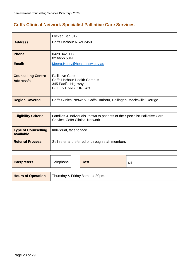## **Coffs Clinical Network Specialist Palliative Care Services**

| <b>Address:</b>                        | Locked Bag 812<br>Coffs Harbour NSW 2450                                                                         |
|----------------------------------------|------------------------------------------------------------------------------------------------------------------|
| <b>Phone:</b>                          | 0429 342 003,<br>02 6656 5341                                                                                    |
| Email:                                 | Meera.Henry@health.nsw.gov.au                                                                                    |
| <b>Counselling Centre</b><br>Address/s | <b>Palliative Care</b><br><b>Coffs Harbour Health Campus</b><br>345 Pacific Highway<br><b>COFFS HARBOUR 2450</b> |
| <b>Region Covered</b>                  | Coffs Clinical Network: Coffs Harbour, Bellingen, Macksville, Dorrigo                                            |

| <b>Eligibility Criteria</b>                    | Families & individuals known to patients of the Specialist Palliative Care<br>Service, Coffs Clinical Network |
|------------------------------------------------|---------------------------------------------------------------------------------------------------------------|
| <b>Type of Counselling</b><br><b>Available</b> | Individual, face to face                                                                                      |
| <b>Referral Process</b>                        | Self-referral preferred or through staff members                                                              |

| <b>Interpreters</b>       | Telephone | <b>Cost</b>                     | Nil |
|---------------------------|-----------|---------------------------------|-----|
|                           |           |                                 |     |
| <b>Hours of Operation</b> |           | Thursday & Friday 8am - 4:30pm. |     |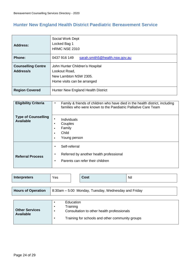## **Hunter New England Health District Paediatric Bereavement Service**

| <b>Address:</b>                        | Social Work Dept<br>Locked Bag 1<br>HRMC NSE 2310                                                        |
|----------------------------------------|----------------------------------------------------------------------------------------------------------|
| <b>Phone:</b>                          | 0437 916 149<br>sarah.smith5@health.nsw.gov.au                                                           |
| <b>Counselling Centre</b><br>Address/s | John Hunter Children's Hospital<br>Lookout Road,<br>New Lambton NSW 2305.<br>Home visits can be arranged |
| <b>Region Covered</b>                  | Hunter New England Health District                                                                       |

| <b>Eligibility Criteria</b>                    | Family & friends of children who have died in the health district, including<br>families who were known to the Paediatric Palliative Care Team |
|------------------------------------------------|------------------------------------------------------------------------------------------------------------------------------------------------|
| <b>Type of Counselling</b><br><b>Available</b> | ٠<br><b>Individuals</b><br>Couples<br>٠<br>Family<br>$\bullet$<br>Child<br>$\bullet$<br>Young person<br>$\bullet$                              |
| <b>Referral Process</b>                        | Self-referral<br>٠<br>Referred by another health professional<br>Parents can refer their children<br>٠                                         |

| <b>Interpreters</b>                       | Yes                                         | Cost                                                                                          | Nil |
|-------------------------------------------|---------------------------------------------|-----------------------------------------------------------------------------------------------|-----|
|                                           |                                             |                                                                                               |     |
| <b>Hours of Operation</b>                 |                                             | 8:30am – 5:00 Monday, Tuesday, Wednesday and Friday                                           |     |
|                                           |                                             |                                                                                               |     |
| <b>Other Services</b><br><b>Available</b> | <b>Education</b><br>Training<br>٠<br>٠<br>٠ | Consultation to other health professionals<br>Training for schools and other community groups |     |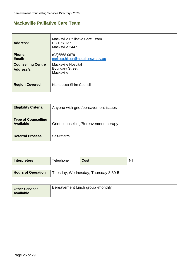### **Macksville Palliative Care Team**

| <b>Address:</b>                        | Macksville Palliative Care Team<br><b>PO Box 137</b><br>Macksville 2447 |
|----------------------------------------|-------------------------------------------------------------------------|
| <b>Phone:</b><br>Email:                | (02)65680679<br>melissa.hilson@health.nsw.gov.au                        |
| <b>Counselling Centre</b><br>Address/s | Macksville Hospital<br><b>Boundary Street</b><br>Macksville             |
| <b>Region Covered</b>                  | Nambucca Shire Council                                                  |

| <b>Eligibility Criteria</b>             | Anyone with grief/bereavement issues  |
|-----------------------------------------|---------------------------------------|
| Type of Counselling<br><b>Available</b> | Grief counselling/Bereavement therapy |
| <b>Referral Process</b>                 | Self-referral                         |

| <b>Interpreters</b>       | Telephone | <b>Cost</b>                         | Nil |
|---------------------------|-----------|-------------------------------------|-----|
|                           |           |                                     |     |
| <b>Hours of Operation</b> |           | Tuesday, Wednesday, Thursday 8.30-5 |     |

| <b>Other Services</b><br><b>Available</b> | Bereavement lunch group -monthly |
|-------------------------------------------|----------------------------------|
|                                           |                                  |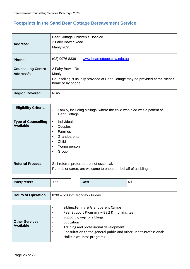## **Footprints in the Sand Bear Cottage Bereavement Service**

| <b>Address:</b>                        | Bear Cottage Children's Hospice<br>2 Fairy Bower Road<br><b>Manly 2095</b>                                                        |
|----------------------------------------|-----------------------------------------------------------------------------------------------------------------------------------|
| <b>Phone:</b>                          | (02) 9976 8336<br>www.bearcottage.chw.edu.au                                                                                      |
| <b>Counselling Centre</b><br>Address/s | 2 Fairy Bower Rd<br>Manly<br>Counselling is usually provided at Bear Cottage may be provided at the client's<br>home or by phone. |
| <b>Region Covered</b>                  | <b>NSW</b>                                                                                                                        |

| <b>Eligibility Criteria</b>                    | Family, including siblings, where the child who died was a patient of<br>$\bullet$<br>Bear Cottage.                                                       |
|------------------------------------------------|-----------------------------------------------------------------------------------------------------------------------------------------------------------|
| <b>Type of Counselling</b><br><b>Available</b> | Individuals<br>$\bullet$<br>Couples<br>٠<br><b>Families</b><br>$\bullet$<br>Grandparents<br>٠<br>Child<br>$\bullet$<br>Young person<br>$\bullet$<br>Group |
| <b>Referral Process</b>                        | Self referral preferred but not essential.<br>Parents or carers are welcome to phone on behalf of a sibling.                                              |

| Nil<br>Interpreters<br>Yes<br>Cost |  |
|------------------------------------|--|
|------------------------------------|--|

| <b>Hours of Operation</b> $  8:30 - 5:00$ pm Monday - Friday |
|--------------------------------------------------------------|
|                                                              |

|                       | $\bullet$ | Sibling, Family & Grandparent Camps                               |
|-----------------------|-----------|-------------------------------------------------------------------|
|                       | $\bullet$ | Peer Support Programs - BBQ & morning tea                         |
|                       | $\bullet$ | Support group for siblings                                        |
| <b>Other Services</b> | $\bullet$ | Education                                                         |
| <b>Available</b>      |           | Training and professional development                             |
|                       | $\bullet$ | Consultation to the general public and other Health Professionals |
|                       |           | Holistic wellness programs                                        |
|                       |           |                                                                   |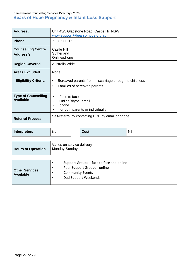#### Bereavement Counselling Services Directory - 2020 **Bears of Hope Pregnancy & Infant Loss Support**

| <b>Address:</b>                                | Unit 45/5 Gladstone Road, Castle Hill NSW<br>www.support@bearsofhope.org.au                                             |
|------------------------------------------------|-------------------------------------------------------------------------------------------------------------------------|
| <b>Phone:</b>                                  | 1300 11 HOPE                                                                                                            |
| <b>Counselling Centre</b><br>Address/s         | Castle Hill<br>Sutherland<br>Online/phone                                                                               |
| <b>Region Covered</b>                          | Australia Wide                                                                                                          |
| <b>Areas Excluded</b>                          | None                                                                                                                    |
| <b>Eligibility Criteria</b>                    | Bereaved parents from miscarriage through to child loss<br>$\bullet$<br>Families of bereaved parents.<br>$\bullet$      |
| <b>Type of Counselling</b><br><b>Available</b> | Face to face<br>$\bullet$<br>Online/skype, email<br>$\bullet$<br>phone<br>for both parents or individually<br>$\bullet$ |
| <b>Referral Process</b>                        | Self-referral by contacting BCH by email or phone                                                                       |

| <b>Interpreters</b>       | No.           | Cost                                     |  | Nil |
|---------------------------|---------------|------------------------------------------|--|-----|
|                           |               |                                          |  |     |
| <b>Hours of Operation</b> | Monday-Sunday | Varies on service delivery               |  |     |
|                           |               |                                          |  |     |
|                           | $\bullet$     | Support Groups – face to face and online |  |     |
| <b>Other Services</b>     | $\bullet$     | Peer Support Groups - online             |  |     |
| <b>Available</b>          | $\bullet$     | <b>Community Events</b>                  |  |     |
|                           | $\bullet$     | Dad Support Weekends                     |  |     |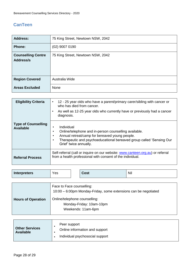### **CanTeen**

| <b>Address:</b>                        | 75 King Street, Newtown NSW, 2042 |
|----------------------------------------|-----------------------------------|
| <b>Phone:</b>                          | $(02)$ 9007 0190                  |
| <b>Counselling Centre</b><br>Address/s | 75 King Street, Newtown NSW, 2042 |
| <b>Region Covered</b>                  | Australia Wide                    |
| <b>Areas Excluded</b>                  | None                              |

| <b>Eligibility Criteria</b>                    | 12 - 25 year olds who have a parent/primary carer/sibling with cancer or<br>$\bullet$<br>who has died from cancer.<br>As well as 12-25 year olds who currently have or previously had a cancer<br>$\bullet$<br>diagnosis.                      |
|------------------------------------------------|------------------------------------------------------------------------------------------------------------------------------------------------------------------------------------------------------------------------------------------------|
| <b>Type of Counselling</b><br><b>Available</b> | Individual<br>٠<br>Online/telephone and in-person counselling available.<br>٠<br>Annual retreat/camp for bereaved young people.<br>$\bullet$<br>Therapeutic and psychoeducational bereaved group called 'Sensing Our<br>Grief' twice annually. |
| <b>Referral Process</b>                        | Self-referral (call or inquire on our website: www.canteen.org.au) or referral<br>from a health professional with consent of the individual.                                                                                                   |

| <b>Interpreters</b><br>Yes |  | <b>Cost</b> | Nil |
|----------------------------|--|-------------|-----|
|----------------------------|--|-------------|-----|

|                           | Face to Face counselling:<br>10:00 – 6:00pm Monday-Friday, some extensions can be negotiated |
|---------------------------|----------------------------------------------------------------------------------------------|
| <b>Hours of Operation</b> | Online/telephone counselling:<br>Monday-Friday: 10am-10pm<br>Weekends: 11am-6pm              |

| <b>Other Services</b><br><b>Available</b> | Peer support<br>Online information and support<br>Individual psychosocial support |
|-------------------------------------------|-----------------------------------------------------------------------------------|
|                                           |                                                                                   |